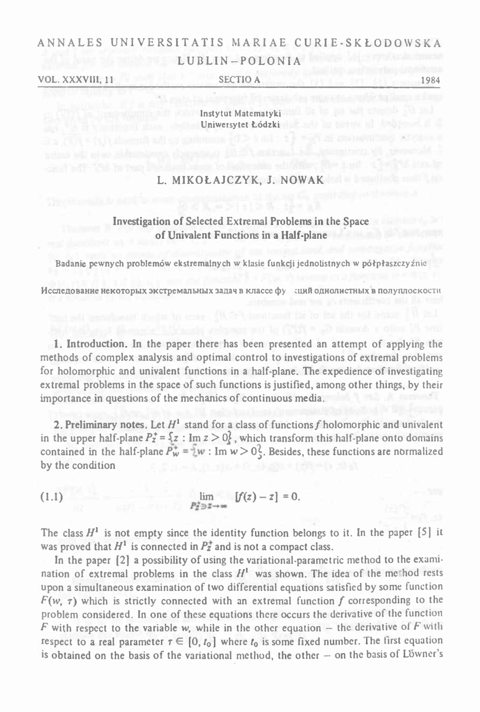# ANNALES UNI VERSITATIS MARIAE <sup>C</sup> <sup>U</sup> RI <sup>E</sup> - <sup>S</sup> <sup>K</sup> *<sup>Ł</sup>* <sup>0</sup> <sup>D</sup> <sup>0</sup> <sup>W</sup> <sup>S</sup> <sup>K</sup> <sup>A</sup> LUBLIN-POLONIA

VOL. XXXVIII, <sup>11</sup>\_\_\_\_\_\_\_\_\_\_\_\_\_\_\_\_\_\_\_\_\_\_SECTIO <sup>A</sup>\_\_\_\_\_\_\_\_\_\_\_\_\_\_\_\_\_\_\_\_\_\_\_\_\_\_\_\_\_\_\_\_\_ <sup>1984</sup>

Instytut Matematyki Uniwersytet Łódzki

## L. MIKOŁAJCZYK, J. NOWAK

## Investigation of Selected Extremal Problems in the Space of Univalent Functions in a Half-plane

Badanie pewnych problemów ekstremalnych w klasie funkcji jcdnolistnych <sup>w</sup> półpłaszczyźnie

Исследование некоторых экстремальных задач в классе фу здий однолистных в полуплоскости

1. Introduction. In the paper there has been presented an attempt of applying the methods of complex analysis and optimal control to investigations of extremal problems for holomorphic and univalent functions in <sup>a</sup> half-plane. The expedience of investigating extremal problems in the space of such functions is justified, among other things, by their importance in questions of the mechanics of continuous media.

2. Preliminary notes. Let  $H^1$  stand for a class of functions f holomorphic and univalent in the upper half-plane  $P_2^* = \{z : \text{Im } z > 0\}$ , which transform this half-plane onto domains for holomorphic and univalent functions in a half-plane. The expedience of investigating<br>extremal problems in the space of such functions is justified, among other things, by their<br>importance in questions of the mechanics by the condition contained in the half-plane  $P_w^* = w : Im w > 0$ . Besides, these functions are normalized

$$
\lim_{P_z^2 \ni z \to \infty} \quad [f(z) - z] = 0.
$$

The class  $H^1$  is not empty since the identity function belongs to it. In the paper [5] it was proved that  $H^1$  is connected in  $P^+$  and is not a compact class.

In the paper [2] a possibility of using the variational-parametric method to the examination of extremal problems in the class  $H<sup>1</sup>$  was shown. The idea of the method rests upon <sup>a</sup> simultaneous examination of two differential equations satisfied by some function  $F(w, \tau)$  which is strictly connected with an extremal function f corresponding to the problem considered. In one of these equations there occurs the derivative of the function *F* with respect to the variable w, while in the other equation – the derivative of *F* with respect to a real parameter  $\tau \in [0, t_0]$  where  $t_0$  is some fixed number. The first equation is obtained on the basis of the variational method, the other  $-$  on the basis of Löwner's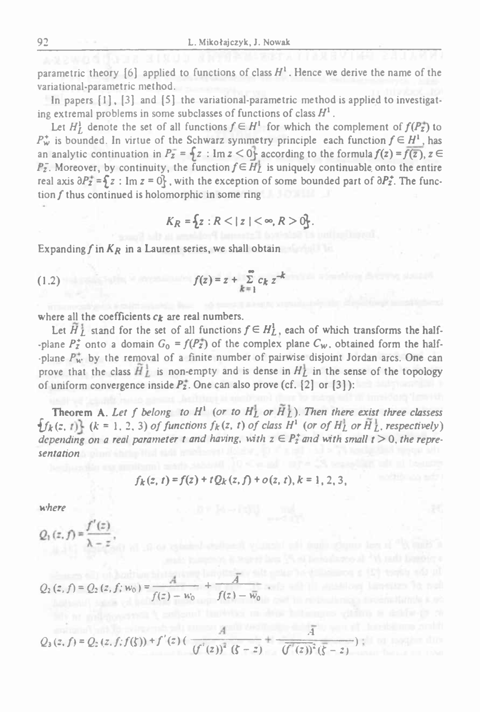parametric theory [6] applied to functions of class  $H^1$ . Hence we derive the name of the variational-parametric method.

In papers  $\{1\}$ ,  $\{3\}$  and  $\{5\}$  the variational-parametric method is applied to investigating extremal problems in some subclasses of functions of class  $H<sup>1</sup>$ .

Let  $H_I^1$  denote the set of all functions  $f \in H^1$  for which the complement of  $f(P_Z^+)$  to  $P_w^*$  is bounded. In virtue of the Schwarz symmetry principle each function  $f \in H^1$ , has an analytic continuation in  $P_z = \oint z : \text{Im } z < 0$  according to the formula  $f(z) = \overline{f(z)}$ ,  $z \in$  $P_2$ . Moreover, by continuity, the function  $f \in \overline{H}_L^1$  is uniquely continuable onto the entire real axis  $\partial P_z^* = \int z : \text{Im } z = 0$ , with the exception of some bounded part of  $\partial P_z^*$ . The function *f* thus continued is holomorphic in some ring

$$
K_R = \{ z : R < |z| < \infty, R > 0 \}.
$$

Expanding  $f$  in  $K_R$  in a Laurent series, we shall obtain

(1.2) 
$$
f(z) = z + \sum_{k=1}^{\infty} c_k z^{-k}
$$

where all the coefficients  $c_k$  are real numbers.

Let  $\tilde{H}_L^1$  stand for the set of all functions  $f \in H_L^1$ , each of which transforms the half--plane  $P_2^*$  onto a domain  $G_0 = f(P_2^*)$  of the complex plane  $C_w$ , obtained form the half--plane  $P_w^*$  by the removal of a finite number of pairwise disjoint Jordan arcs. One can prove that the class  $H_L$  is non-empty and is dense in  $H_L$  in the sense of the topology of uniform convergence inside  $P_2^*$ . One can also prove (cf. [2] or [3]):

Theorem A. Let f belong to  $H^1$  (or to  $H^1_L$  or  $H^1_L$ ). Then there exist three classess  $f_k(z, t)$   $(k = 1, 2, 3)$  of functions  $f_k(z, t)$  of class  $H^1$  (or of  $H^1_L$  or  $\tilde{H}^1_L$ , respectively) depending on a real parameter t and having, with  $z \in P_2^*$  and with small  $t > 0$ , the repre*sentation*

$$
f_k(z, t) = f(z) + t Q_k(z, f) + o(z, t), k = 1, 2, 3,
$$

*where*

$$
Q_1(z, f) = \frac{f(z)}{\lambda - z},
$$
  

$$
Q_2(z, f) = Q_2(z, f; w_0) = \frac{A}{f(z) - w_0} + \frac{\overline{A}}{f(z) - \overline{w_0}}
$$

 $Q_3(z,f) = Q_2(z,f;f(\zeta)) + f'(z)$ (f(2) -  $\overline{w_0}$ <br>
(f'(2))<sup>2</sup> (f - z) +  $\frac{\overline{A}}{(f'(z))^2(\overline{S} - z)}$ .4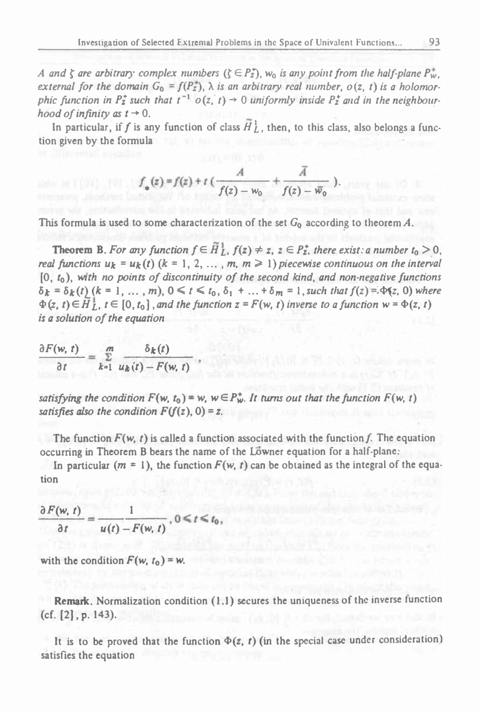A and  $\zeta$  are arbitrary complex numbers  $(\zeta \in P_z^*), w_0$  is any point from the half-plane  $P_w^*$ . external for the domain  $G_0 = f(P_{\overline{z}})$ ,  $\lambda$  is an arbitrary real number,  $o(z, t)$  is a holomorphic function in  $P_z^*$  such that  $t^{-1}$   $o(z, t) \rightarrow 0$  uniformly inside  $P_z^*$  and in the neighbour*hood of infinity as*  $t \rightarrow 0$ .

In particular, if f is any function of class  $H_L^1$ , then, to this class, also belongs a function given by the formula

$$
f_{*}(z) = f(z) + t \left( \frac{A}{f(z) - w_0} + \frac{\overline{A}}{f(z) - \overline{w}_0} \right).
$$

This formula is used to some characterization of the set *<sup>G</sup><sup>Q</sup>* according to theorem *A.*

**Theorem B.** For any function  $f \in \tilde{H}_L^1$ ,  $f(z) \neq z$ ,  $z \in P_z^*$ , there exist: a number  $t_0 > 0$ , real functions  $u_k = u_k(t)$   $(k = 1, 2, ..., m, m \ge 1)$  piecewise continuous on the interval [0, <sup>f</sup>0), wirt *no points of discontinuity of the second kind, and non-negative functions*  $\delta_k = \delta_k(t)$  (k = 1, ..., *m*),  $0 \le t \le t_0$ ,  $\delta_1 + ... + \delta_m = 1$ , such that  $f(z) = \Phi(z, 0)$  where  $\Phi(z, t) \in \tilde{H}_L^1$ ,  $t \in [0, t_0]$ , and the function  $z = F(w, t)$  inverse to a function  $w = \Phi(z, t)$ *is <sup>a</sup> solution of the equation definitions*  $u_k = u_k(t)$  (*k*  $[0, t_0)$ , with no points of different  $\delta_k = \delta_k(t)$  (*k* = 1, ..., *m*), ( $\Phi(z, t) \in \widetilde{H}_L^1$ ,  $t \in [0, t_0]$ , and  $\delta$  *s a* solution of the equation  $\frac{\partial F(w, t)}{\partial t} = \sum_{k=1}^{\infty} \frac{\delta_k(t)}{u_k(t) - F$ 

$$
\frac{\partial F(w, t)}{\partial t} = \sum_{k=1}^{m} \frac{\delta_k(t)}{u_k(t) - F(w, t)}
$$

abbacael I (OT) , POT , UK

satisfying the condition  $F(w, t_0) = w$ ,  $w \in P_w^*$ . It turns out that the function  $F(w, t)$ *satisfies also the condition*  $F(f(z), 0) = z$ .

The function  $F(w, t)$  is called a function associated with the function f. The equation occurring in Theorem <sup>B</sup> bears the name of the Lowner equation for <sup>a</sup> half-plane:

In particular  $(m = 1)$ , the function  $F(w, t)$  can be obtained as the integral of the equation

The function 
$$
F(w, t)
$$
 is called a function  
occurring in Theorem B bears the name of  
In particular  $(m = 1)$ , the function F  
tion  

$$
\frac{\partial F(w, t)}{\partial t} = \frac{1}{u(t) - F(w, t)}, 0 \le t \le t_0,
$$
with the condition  $F(w, t_0) = w$ .

with the condition  $F(w, t_0) = w$ .

Remark. Normalization condition (1.1) secures the uniqueness of the inverse lunction (cf. [2], p. 143).

It is to be proved that the function  $\Phi(z, t)$  (in the special case under consideration) satisfies the equation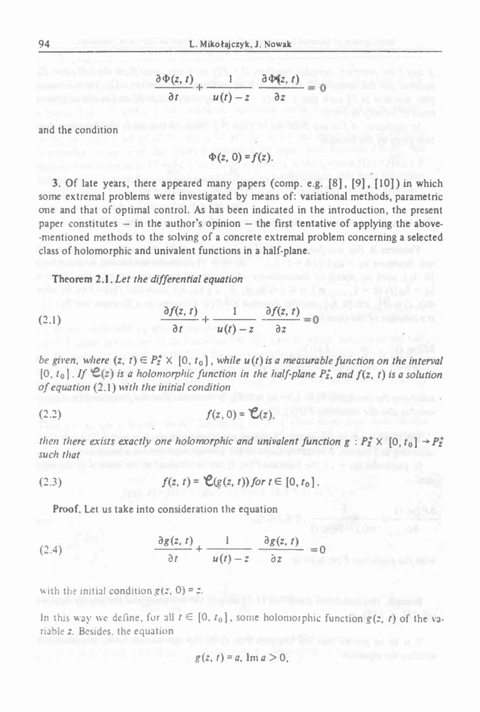L. Mikotajczyk, J. Nowak  

$$
\frac{\partial \Phi(z, t)}{\partial t} + \frac{1}{u(t) - z} \frac{\partial \Phi(z, t)}{\partial z} = 0
$$

and the condition

$$
\Phi(z, 0) = f(z).
$$

3. Of late years, there appeared many papers (comp. e.g. [8], [9], [10]) in which some extremal problems were investigated by means of: variational methods, parametric one and that of optimal control. As has been indicated in the introduction, the present paper constitutes  $-$  in the author's opinion  $-$  the first tentative of applying the above--mentioned methods to the solving of <sup>a</sup> concrete extremal problem concerning <sup>a</sup> selected class of holomorphic and univalent functions in <sup>a</sup> half-plane. bolving of a concrete extremential equation<br> *denote the state alent functions in a half-<br>
<i>denoting*<br>  $\frac{f(z, t)}{\partial t} + \frac{1}{u(t) - z} \frac{\partial f(z)}{\partial z}$ <br>  $[0, t_0], while u(t) is a t$ 

Theorem 2.1. *Let the differential equation*

(2.1) 
$$
\frac{\partial f(z, t)}{\partial t} + \frac{1}{u(t) - z} \frac{\partial f(z, t)}{\partial z} = 0
$$

be given, where  $(z, t) \in P_z^* \times [0, t_0]$ , while  $u(t)$  is a measurable function on the interval (2.1)  $\frac{\partial f(z, t)}{\partial t} + \frac{1}{u(t) - z} \frac{\partial f(z, t)}{\partial z} = 0$ <br>be given, where  $(z, t) \in P_z^* \times [0, t_0]$ , while  $u(t)$  is a measurable function on the interval  $[0, t_0]$ . If  $\mathcal{C}(z)$  is a holomorphic function in the half-plane  $P_z^*$ , an *of equation* (2.1) >w7/i *the initial condition*

$$
(2.2) \t f(z, 0) = \mathcal{C}(z),
$$

then there exists exactly one holomorphic and univalent function  $g: P_2^* \times [0, t_0] \rightarrow P_2^*$ *such that*

(2.3) 
$$
f(z, t) = \mathcal{C}(g(z, t)) \text{ for } t \in [0, t_0].
$$

Proof. Let us take into consideration the equation

then there exists exactly one holomorphic and univalent func.

\n(2.3)

\n
$$
f(z, t) = \mathcal{C}(g(z, t)) \text{ for } t \in [0, t_0].
$$
\nProof. Let us take into consideration the equation

\n
$$
\frac{\partial g(z, t)}{\partial t} + \frac{1}{u(t) - z} \frac{\partial g(z, t)}{\partial z} = 0
$$
\nwith the initial condition  $g(z, 0) = z$ .

with the initial condition  $g(z, 0) = z$ .

In this way we define, for all  $t \in [0, t_0]$ , some holomorphic function  $g(z, t)$  of the variable z. Besides, the equation

$$
g(z, t) = a, \operatorname{Im} a > 0,
$$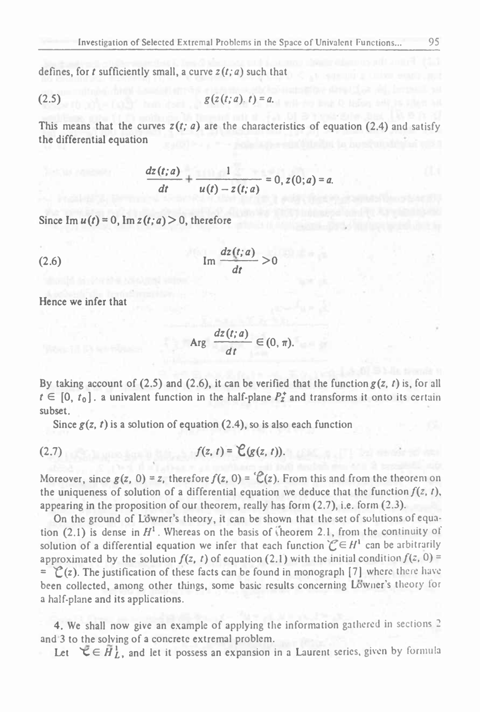defines, for *t* sufficiently small, <sup>a</sup> curve *z(t;a)* such that

(2.5) 
$$
g(z(t; a), t) = a
$$
.

This means that the curves  $z(t; a)$  are the characteristics of equation (2.4) and satisfy the differential equation

$$
g(z(t; a), t) = a.
$$
  
arves  $z(t; a)$  are the characteristics of eq  

$$
\frac{dz(t; a)}{dt} + \frac{1}{u(t) - z(t; a)} = 0, z(0; a) = a.
$$
  

$$
f(a) > 0 \text{ therefore}
$$

Since  $\text{Im } u(t) = 0$ ,  $\text{Im } z(t; a) > 0$ , therefore

$$
\text{(2.6)} \quad \text{Im} \frac{dz(t; a)}{dt} > 0
$$

Hence we infer that

$$
Arg \frac{dz(t; a)}{dt} \in (0, \pi).
$$

By taking account of (2.5) and (2.6), it can be verified that the function  $g(z, t)$  is, for all  $t \in [0, t_0]$ . a univalent function in the half-plane  $P^*_{\mathbf{z}}$  and transforms it onto its certain subset.

Since  $g(z, t)$  is a solution of equation (2.4), so is also each function

$$
f(z,t)=\mathcal{C}(g(z,t)).
$$

Moreover, since  $g(z, 0) = z$ , therefore  $f(z, 0) = \mathcal{C}(z)$ . From this and from the theorem on the uniqueness of solution of a differential equation we deduce that the function  $f(z, t)$ , appearing in the proposition of our theorem, really has form (2.7), i.e. form (2.3).

pearing in the proposition of our theorem, really has form (2.7), i.e. form (2.3).<br>On the ground of Lowner's theory, it can be shown that the set of solutions of equation (2.1) is dense in  $H^1$ . Whereas on the basis of theorem 2.1, from the continuity of solution of a differential equation we infer that each function  $\mathcal{C} \in H^1$  can be arbitrarily approximated by the solution  $f(z, t)$  of equation (2.1) with the initial condition  $f(z, 0)$  =  $=$   $\mathcal{C}(z)$ . The justification of these facts can be found in monograph [7] where there have been collected, among other things, some basic results concerning Lowner'<sup>s</sup> theory tor a half-plane and its applications.

4. We shall now give an example of applying the information gathered in sections <sup>2</sup> and 3 to the solving of a concrete extremal problem.

Let  $\forall \xi \in H_L^1$ , and let it possess an expansion in a Laurent series, given by formula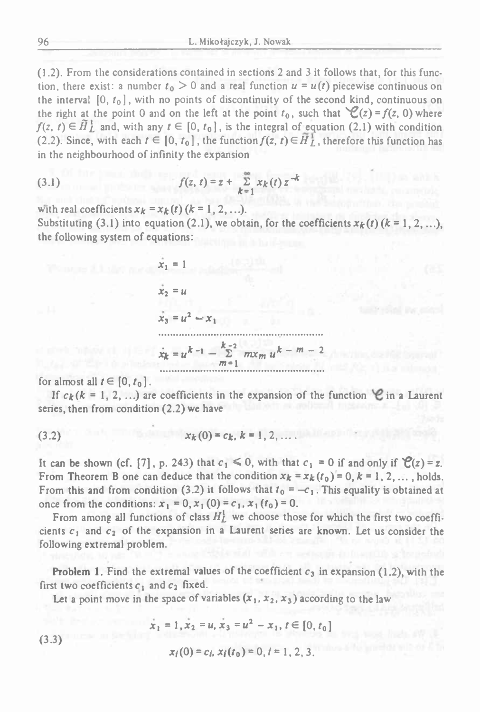(1.2) . From the considerations contained in sections <sup>2</sup> and <sup>3</sup> it follows that, for this function, there exist: a number  $t_0 > 0$  and a real function  $u = u(t)$  piecewise continuous on the interval  $[0, t_0]$ , with no points of discontinuity of the second kind, continuous on the right at the point 0 and on the left at the point  $t_0$ , such that  $\mathcal{C}(z) = f(z, 0)$  where  $f(z, t) \in \tilde{H}_L^1$  and, with any  $t \in [0, t_0]$ , is the integral of equation (2.1) with condition (2.2). Since, with each  $t \in [0, t_0]$ , the function  $f(z, t) \in \tilde{H}_L^1$ , therefore this function has

in the neighbourhood of infinity the expansion  
(3.1) 
$$
f(z, t) = z + \sum_{k=1}^{\infty} x_k(t) z^{-k}
$$

with real coefficients  $x_k = x_k(t)$   $(k = 1, 2, ...).$ 

Substituting (3.1) into equation (2.1), we obtain, for the coefficients  $x_k(t)$   $(k = 1, 2, \ldots)$ , the following system of equations:



for almost all  $t \in [0, t_0]$ .<br>If  $c_k (k = 1, 2, ...)$  are coefficients in the expansion of the function  $\mathcal{C}$  in a Laurent  $\dot{x}_k = u^{k-1} - \sum_{m=1}^{k-2} mx_m u^{k-m-2}$ <br>almost all  $t \in [0, t_0]$ .<br>If  $c_k(k = 1, 2, ...)$  are coefficients in the expansion of the function  $\mathcal C$  in a Laurent<br>ies, then from condition (2.2) we have series, then from condition (2.2) we have

(3.2)  $x_k(0) = c_k, k = 1, 2, \ldots$ 

It can be shown (cf. [7], p. 243) that  $c_1 \le 0$ , with that  $c_1 = 0$  if and only if  $\mathcal{C}(z) = z$ . From Theorem B one can deduce that the condition  $x_k = x_k(t_0) = 0, k = 1, 2, \ldots$ , holds. From this and from condition (3.2) it follows that  $t_0 = -c_1$ . This equality is obtained at once from the conditions:  $x_1 = 0$ ,  $x_1(0) = c_1$ ,  $x_1(t_0) = 0$ .

From among all functions of class  $H_L^1$  we choose those for which the first two coefficients  $c_1$  and  $c_2$  of the expansion in a Laurent series are known. Let us consider the following extremal problem.

Problem 1. Find the extremal values of the coefficient  $c_3$  in expansion (1.2), with the first two coefficients  $c_1$  and  $c_2$  fixed.

Let a point move in the space of variables  $(x_1, x_2, x_3)$  according to the law

$$
\dot{x}_1 = 1, \dot{x}_2 = u, \dot{x}_3 = u^2 - x_1, t \in [0, t_0]
$$

$$
x_i(0) = c_i, x_i(t_0) = 0, i = 1, 2, 3.
$$

(3.3)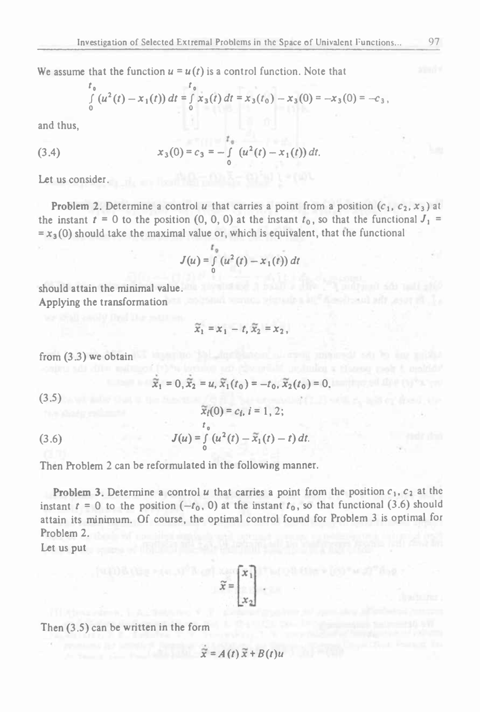We assume that the function  $u = u(t)$  is a control function. Note that

$$
\int_{0}^{t_0} (u^2(t) - x_1(t)) dt = \int_{0}^{t_0} x_3(t) dt = x_3(t_0) - x_3(0) = -x_3(0) = -c_3,
$$

and thus,

(3.4) 
$$
x_3(0) = c_3 = -\int_{0}^{t_0} (u^2(t) - x_1(t)) dt.
$$

Let us consider.

**Problem 2.** Determine a control *u* that carries a point from a position  $(c_1, c_2, x_3)$  at the instant  $t = 0$  to the position  $(0, 0, 0)$  at the instant  $t<sub>0</sub>$ , so that the functional  $J<sub>1</sub> =$  $=x_3(0)$  should take the maximal value or, which is equivalent, that the functional

$$
J(u) = \int_{0}^{t_0} (u^2(t) - x_1(t)) dt
$$

should attain the minimal value. Applying the transformation

$$
\widetilde{x}_1 = x_1 - t, \widetilde{x}_2 = x_2,
$$

 $\tilde{x}_i(0) = c_i, i = 1, 2;$ 

from (3.3) we obtain

$$
\tilde{x}_1 = 0, \tilde{x}_2 = u, \tilde{x}_1(t_0) = -t_0, \tilde{x}_2(t_0) = 0.
$$

(3.5)

(3.6) 
$$
J(u) = \int_{0}^{t_0} (u^2(t) - \tilde{x}_1(t) - t) dt.
$$

Then Problem <sup>2</sup> can be reformulated in the following manner.

**Problem 3.** Determine a control  $u$  that carries a point from the position  $c_1$ ,  $c_2$  at the instant  $t = 0$  to the position  $(-t_0, 0)$  at the instant  $t_0$ , so that functional (3.6) should attain its minimum. Of course, the optimal control found for Problem <sup>3</sup> is optimal for Problem 2.

Let us put

$$
\widetilde{x} = \begin{bmatrix} x_1 \\ x_2 \end{bmatrix}
$$

Then (3.5) can be written in the form

$$
\widetilde{x} = A(t)\widetilde{x} + B(t)u
$$

fire-local aff less of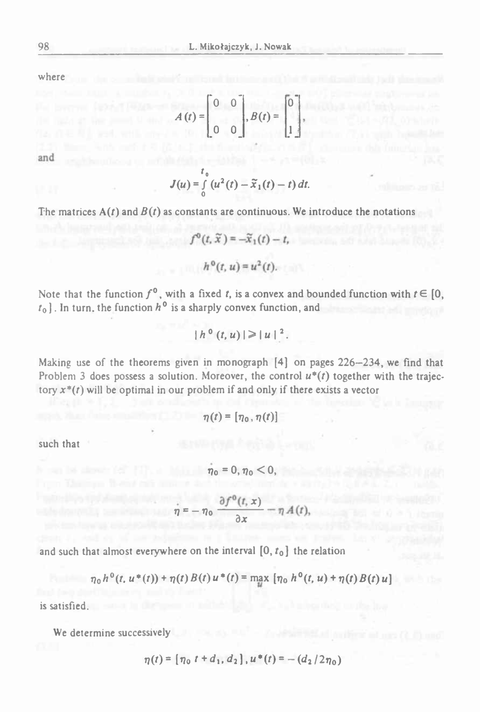where  $\qquad$ 

$$
A(t) = \begin{bmatrix} 0 & 0 \\ 0 & 0 \end{bmatrix}, B(t) = \begin{bmatrix} 0 \\ 1 \end{bmatrix},
$$

and

$$
J(u) = \int\limits_0^{t_0} (u^2(t) - \widetilde{x}_1(t) - t) dt.
$$

The matrices  $A(t)$  and  $B(t)$  as constants are continuous. We introduce the notations

$$
f^{0}(t, \tilde{x}) = -\tilde{x}_{1}(t) - t,
$$
  

$$
h^{0}(t, u) = u^{2}(t).
$$

Note that the function  $f^0$ , with a fixed *t*, is a convex and bounded function with  $t \in [0, t_0]$ . In turn, the function  $h^0$  is a sharply convex function, and  $t_0$ ]. In turn, the function  $h^0$  is a sharply convex function, and

$$
|h^{0}(t, u)| \geq |u|^{2}.
$$

Making use of the theorems given in monograph [4] on pages <sup>226</sup>—234, we find that Problem 3 does possess a solution. Moreover, the control  $u^*(t)$  together with the trajectory  $x^*(t)$  will be optimal in our problem if and only if there exists a vector

$$
\eta(t) = [\eta_0, \eta(t)]
$$

such that

$$
\dot{\eta} = -\eta_0 \frac{\partial f^0(t, x)}{\partial x} - \eta A(t),
$$

 $\eta_0 = 0, \eta_0 < 0,$ 

and such that almost everywhere on the interval  $[0, t_0]$  the relation

$$
\eta_0 h^0(t, u^*(t)) + \eta(t) B(t) u^*(t) = \max [\eta_0 h^0(t, u) + \eta(t) B(t) u]
$$

is satisfied.

We determine successively

$$
\eta(t) = [\eta_0 \ t + d_1, d_2], u^*(t) = -(d_2/2\eta_0)
$$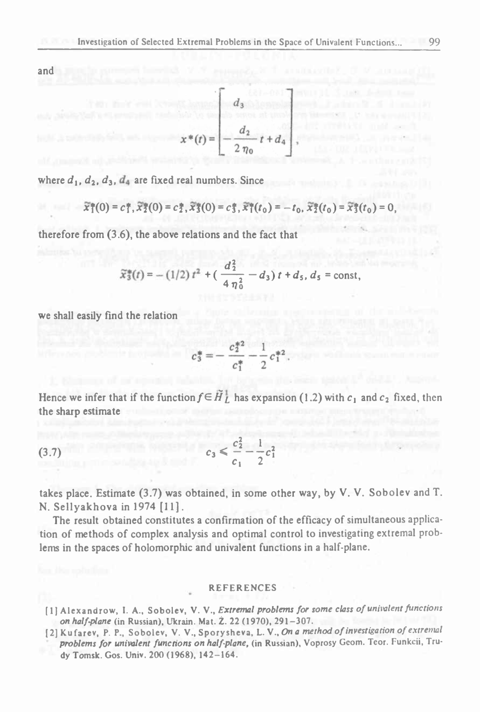and

$$
x^*(t) = \begin{bmatrix} d_3 \\ -\frac{d_2}{2\eta_0}t + d_4 \end{bmatrix}
$$

where  $d_1$ ,  $d_2$ ,  $d_3$ ,  $d_4$  are fixed real numbers. Since

$$
\widetilde{x}_1^*(0)=c_1^*,\widetilde{x}_2^*(0)=c_2^*,\widetilde{x}_3^*(0)=c_3^*,\widetilde{x}_1^*(t_0)=-t_0,\widetilde{x}_2^*(t_0)=\widetilde{x}_3^*(t_0)=0,
$$

therefore from (3.6), the above relations and the fact that

$$
\widetilde{x}_3^*(t) = -(1/2) t^2 + \left(\frac{d_2^2}{4\eta_0^2} - d_3\right)t + d_5, d_5 = \text{const},
$$

we shall easily find the relation

$$
c_3^* = -\frac{c_2^{*2}}{c_1^*} - \frac{1}{2}c_1^{*2}
$$

Hence we infer that if the function  $f \in \tilde{H}_L^1$  has expansion (1.2) with  $c_1$  and  $c_2$  fixed, then the sharp estimate nas expansion  $\frac{c_1^2}{2} - \frac{1}{2}c_1^2$ 

(3.7) 
$$
c_3 < \frac{c_2^2}{c_1} - \frac{1}{2}c_1^2
$$

takes place. Estimate (3.7) was obtained, in some other way, by V. V. Sobolev and T. N. Sellyakhova in <sup>1974</sup> [11].

The result obtained constitutes a confirmation of the efficacy of simultaneous application of methods of complex analysis and optimal control to investigating extremal problems in the spaces of holomorphic and univalent functions in <sup>a</sup> half-plane.

#### REFERENCES

- [ <sup>1</sup><sup>J</sup> Alexandrow, I. A., Sobolev, V. V., *Extremal problems for some class of univalent functions on half-plane* (in Russian), Ukrain. Mat. Ż. <sup>22</sup> (1970), 291-307.
- [2]Kufarev, P. P" Sobolev, V. V., Spory sheva, L. V., *On <sup>a</sup> method of investigation of extremal problems for univalent functions on half-plane,* (in Russian), Voprosy Gcom. Teor. Funkcii, Trudy Tomsk. Gos. Univ. 200 (1968), 142-164.

$$
\begin{bmatrix} d_3 \\ -\frac{d_2}{2n_0}t + d_4 \end{bmatrix},
$$